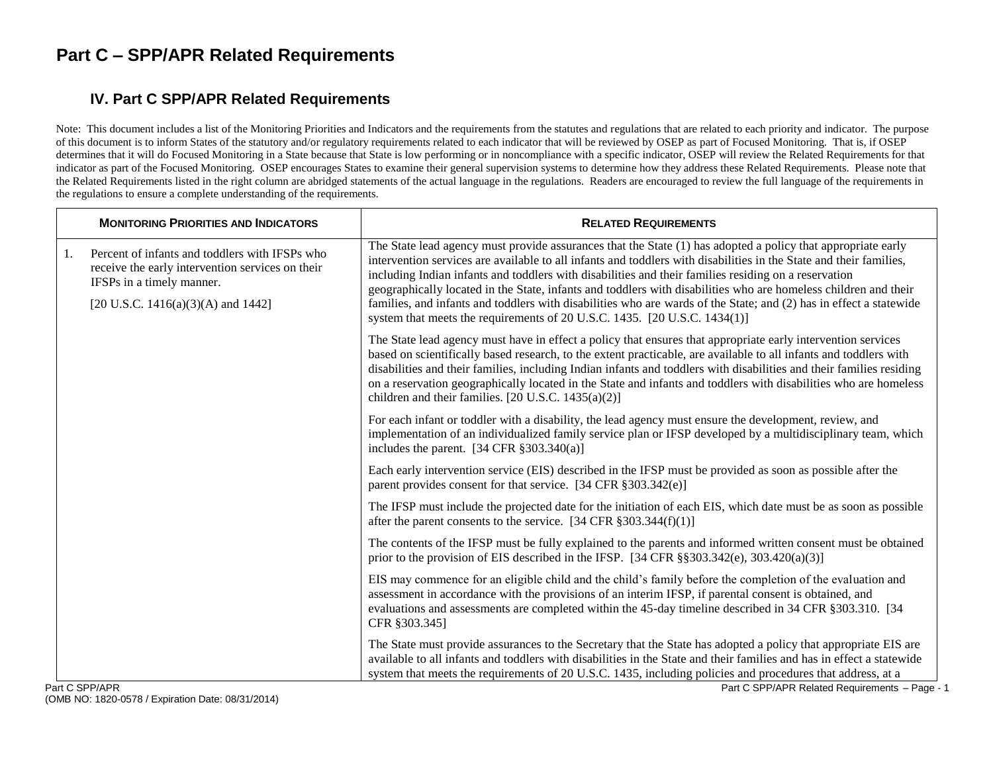#### **IV. Part C SPP/APR Related Requirements**

Note: This document includes a list of the Monitoring Priorities and Indicators and the requirements from the statutes and regulations that are related to each priority and indicator. The purpose of this document is to inform States of the statutory and/or regulatory requirements related to each indicator that will be reviewed by OSEP as part of Focused Monitoring. That is, if OSEP determines that it will do Focused Monitoring in a State because that State is low performing or in noncompliance with a specific indicator, OSEP will review the Related Requirements for that indicator as part of the Focused Monitoring. OSEP encourages States to examine their general supervision systems to determine how they address these Related Requirements. Please note that the Related Requirements listed in the right column are abridged statements of the actual language in the regulations. Readers are encouraged to review the full language of the requirements in the regulations to ensure a complete understanding of the requirements.

|    | <b>MONITORING PRIORITIES AND INDICATORS</b>                                                                                                                           | <b>RELATED REQUIREMENTS</b>                                                                                                                                                                                                                                                                                                                                                                                                                                                                                                                                                                                                                                      |
|----|-----------------------------------------------------------------------------------------------------------------------------------------------------------------------|------------------------------------------------------------------------------------------------------------------------------------------------------------------------------------------------------------------------------------------------------------------------------------------------------------------------------------------------------------------------------------------------------------------------------------------------------------------------------------------------------------------------------------------------------------------------------------------------------------------------------------------------------------------|
| 1. | Percent of infants and toddlers with IFSPs who<br>receive the early intervention services on their<br>IFSPs in a timely manner.<br>[20 U.S.C. 1416(a)(3)(A) and 1442] | The State lead agency must provide assurances that the State (1) has adopted a policy that appropriate early<br>intervention services are available to all infants and toddlers with disabilities in the State and their families,<br>including Indian infants and toddlers with disabilities and their families residing on a reservation<br>geographically located in the State, infants and toddlers with disabilities who are homeless children and their<br>families, and infants and toddlers with disabilities who are wards of the State; and (2) has in effect a statewide<br>system that meets the requirements of 20 U.S.C. 1435. [20 U.S.C. 1434(1)] |
|    |                                                                                                                                                                       | The State lead agency must have in effect a policy that ensures that appropriate early intervention services<br>based on scientifically based research, to the extent practicable, are available to all infants and toddlers with<br>disabilities and their families, including Indian infants and toddlers with disabilities and their families residing<br>on a reservation geographically located in the State and infants and toddlers with disabilities who are homeless<br>children and their families. [20 U.S.C. $1435(a)(2)$ ]                                                                                                                          |
|    |                                                                                                                                                                       | For each infant or toddler with a disability, the lead agency must ensure the development, review, and<br>implementation of an individualized family service plan or IFSP developed by a multidisciplinary team, which<br>includes the parent. $[34 \text{ CFR } \frac{1}{2}303.340(a)]$                                                                                                                                                                                                                                                                                                                                                                         |
|    |                                                                                                                                                                       | Each early intervention service (EIS) described in the IFSP must be provided as soon as possible after the<br>parent provides consent for that service. [34 CFR $\S 303.342(e)$ ]                                                                                                                                                                                                                                                                                                                                                                                                                                                                                |
|    |                                                                                                                                                                       | The IFSP must include the projected date for the initiation of each EIS, which date must be as soon as possible<br>after the parent consents to the service. [34 CFR $\S 303.344(f)(1)$ ]                                                                                                                                                                                                                                                                                                                                                                                                                                                                        |
|    |                                                                                                                                                                       | The contents of the IFSP must be fully explained to the parents and informed written consent must be obtained<br>prior to the provision of EIS described in the IFSP. [34 CFR $\S$ §303.342(e), 303.420(a)(3)]                                                                                                                                                                                                                                                                                                                                                                                                                                                   |
|    |                                                                                                                                                                       | EIS may commence for an eligible child and the child's family before the completion of the evaluation and<br>assessment in accordance with the provisions of an interim IFSP, if parental consent is obtained, and<br>evaluations and assessments are completed within the 45-day timeline described in 34 CFR §303.310. [34<br>CFR §303.345]                                                                                                                                                                                                                                                                                                                    |
|    | Part C SPP/APR                                                                                                                                                        | The State must provide assurances to the Secretary that the State has adopted a policy that appropriate EIS are<br>available to all infants and toddlers with disabilities in the State and their families and has in effect a statewide<br>system that meets the requirements of 20 U.S.C. 1435, including policies and procedures that address, at a<br>Part C SPP/APR Related Requirements - Page - 1                                                                                                                                                                                                                                                         |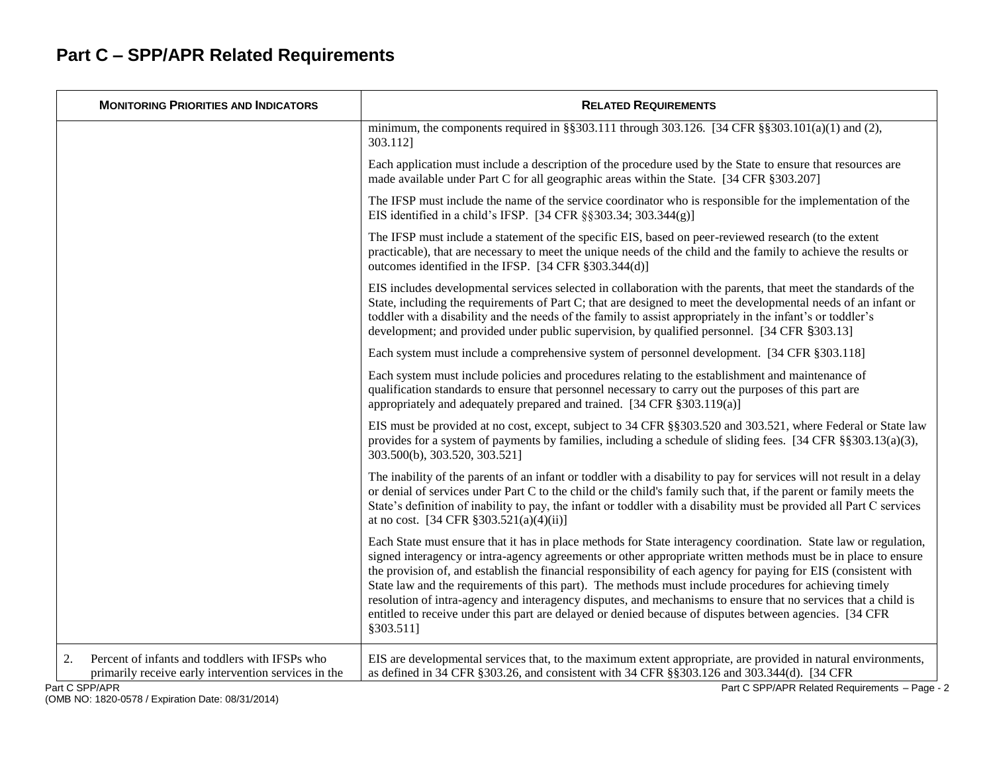| <b>MONITORING PRIORITIES AND INDICATORS</b>                                                                                    | <b>RELATED REQUIREMENTS</b>                                                                                                                                                                                                                                                                                                                                                                                                                                                                                                                                                                                                                                                                              |
|--------------------------------------------------------------------------------------------------------------------------------|----------------------------------------------------------------------------------------------------------------------------------------------------------------------------------------------------------------------------------------------------------------------------------------------------------------------------------------------------------------------------------------------------------------------------------------------------------------------------------------------------------------------------------------------------------------------------------------------------------------------------------------------------------------------------------------------------------|
|                                                                                                                                | minimum, the components required in §§303.111 through 303.126. [34 CFR §§303.101(a)(1) and (2),<br>303.112]                                                                                                                                                                                                                                                                                                                                                                                                                                                                                                                                                                                              |
|                                                                                                                                | Each application must include a description of the procedure used by the State to ensure that resources are<br>made available under Part C for all geographic areas within the State. [34 CFR §303.207]                                                                                                                                                                                                                                                                                                                                                                                                                                                                                                  |
|                                                                                                                                | The IFSP must include the name of the service coordinator who is responsible for the implementation of the<br>EIS identified in a child's IFSP. [34 CFR §§303.34; 303.344(g)]                                                                                                                                                                                                                                                                                                                                                                                                                                                                                                                            |
|                                                                                                                                | The IFSP must include a statement of the specific EIS, based on peer-reviewed research (to the extent<br>practicable), that are necessary to meet the unique needs of the child and the family to achieve the results or<br>outcomes identified in the IFSP. [34 CFR §303.344(d)]                                                                                                                                                                                                                                                                                                                                                                                                                        |
|                                                                                                                                | EIS includes developmental services selected in collaboration with the parents, that meet the standards of the<br>State, including the requirements of Part C; that are designed to meet the developmental needs of an infant or<br>toddler with a disability and the needs of the family to assist appropriately in the infant's or toddler's<br>development; and provided under public supervision, by qualified personnel. [34 CFR §303.13]                                                                                                                                                                                                                                                           |
|                                                                                                                                | Each system must include a comprehensive system of personnel development. [34 CFR § 303.118]                                                                                                                                                                                                                                                                                                                                                                                                                                                                                                                                                                                                             |
|                                                                                                                                | Each system must include policies and procedures relating to the establishment and maintenance of<br>qualification standards to ensure that personnel necessary to carry out the purposes of this part are<br>appropriately and adequately prepared and trained. [34 CFR §303.119(a)]                                                                                                                                                                                                                                                                                                                                                                                                                    |
|                                                                                                                                | EIS must be provided at no cost, except, subject to 34 CFR §§303.520 and 303.521, where Federal or State law<br>provides for a system of payments by families, including a schedule of sliding fees. [34 CFR §§303.13(a)(3),<br>303.500(b), 303.520, 303.521]                                                                                                                                                                                                                                                                                                                                                                                                                                            |
|                                                                                                                                | The inability of the parents of an infant or toddler with a disability to pay for services will not result in a delay<br>or denial of services under Part C to the child or the child's family such that, if the parent or family meets the<br>State's definition of inability to pay, the infant or toddler with a disability must be provided all Part C services<br>at no cost. [34 CFR $\S 303.521(a)(4)(ii)$ ]                                                                                                                                                                                                                                                                                      |
|                                                                                                                                | Each State must ensure that it has in place methods for State interagency coordination. State law or regulation,<br>signed interagency or intra-agency agreements or other appropriate written methods must be in place to ensure<br>the provision of, and establish the financial responsibility of each agency for paying for EIS (consistent with<br>State law and the requirements of this part). The methods must include procedures for achieving timely<br>resolution of intra-agency and interagency disputes, and mechanisms to ensure that no services that a child is<br>entitled to receive under this part are delayed or denied because of disputes between agencies. [34 CFR<br>§303.511] |
| Percent of infants and toddlers with IFSPs who<br>2.<br>primarily receive early intervention services in the<br>Part C SPP/APR | EIS are developmental services that, to the maximum extent appropriate, are provided in natural environments,<br>as defined in 34 CFR § 303.26, and consistent with 34 CFR § § 303.126 and 303.344(d). [34 CFR<br>Part C SPP/APR Related Requirements - Page - 2                                                                                                                                                                                                                                                                                                                                                                                                                                         |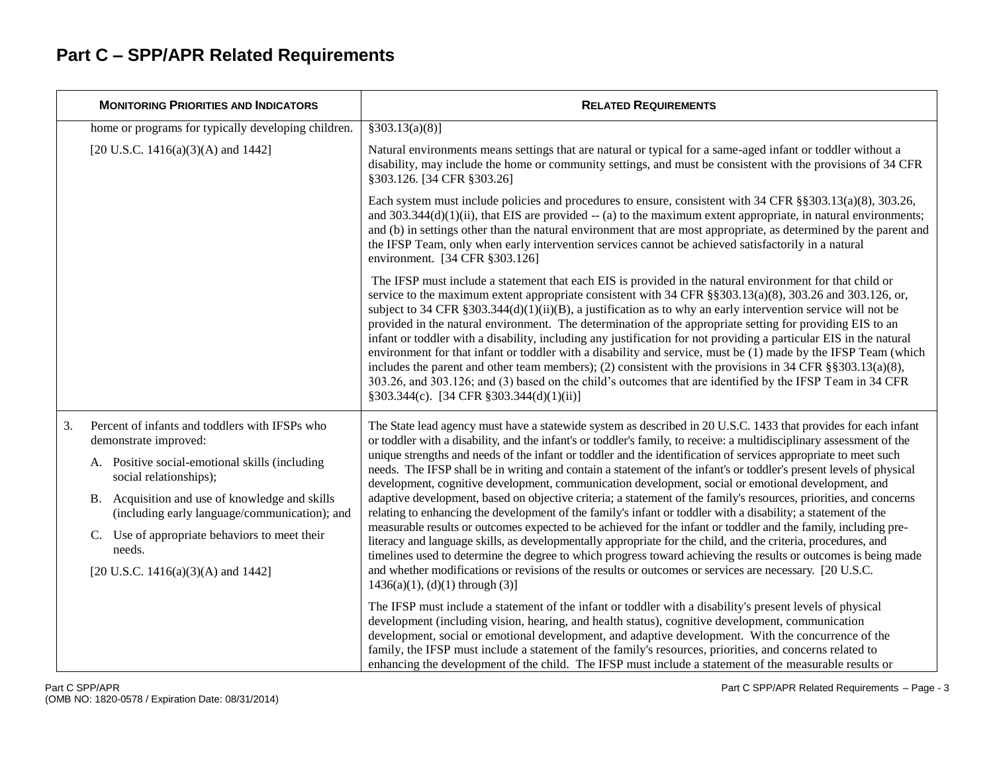| <b>MONITORING PRIORITIES AND INDICATORS</b>                                                     | <b>RELATED REQUIREMENTS</b>                                                                                                                                                                                                                                                                                                                                                                                                                                                                                                                                                                                                                                                                                                                                                                                                                                                                                                                                              |
|-------------------------------------------------------------------------------------------------|--------------------------------------------------------------------------------------------------------------------------------------------------------------------------------------------------------------------------------------------------------------------------------------------------------------------------------------------------------------------------------------------------------------------------------------------------------------------------------------------------------------------------------------------------------------------------------------------------------------------------------------------------------------------------------------------------------------------------------------------------------------------------------------------------------------------------------------------------------------------------------------------------------------------------------------------------------------------------|
| home or programs for typically developing children.                                             | §303.13(a)(8)]                                                                                                                                                                                                                                                                                                                                                                                                                                                                                                                                                                                                                                                                                                                                                                                                                                                                                                                                                           |
| [20 U.S.C. 1416(a)(3)(A) and 1442]                                                              | Natural environments means settings that are natural or typical for a same-aged infant or toddler without a<br>disability, may include the home or community settings, and must be consistent with the provisions of 34 CFR<br>§303.126. [34 CFR §303.26]                                                                                                                                                                                                                                                                                                                                                                                                                                                                                                                                                                                                                                                                                                                |
|                                                                                                 | Each system must include policies and procedures to ensure, consistent with 34 CFR §§303.13(a)(8), 303.26,<br>and $303.344(d)(1)(ii)$ , that EIS are provided $-$ (a) to the maximum extent appropriate, in natural environments;<br>and (b) in settings other than the natural environment that are most appropriate, as determined by the parent and<br>the IFSP Team, only when early intervention services cannot be achieved satisfactorily in a natural<br>environment. [34 CFR §303.126]                                                                                                                                                                                                                                                                                                                                                                                                                                                                          |
|                                                                                                 | The IFSP must include a statement that each EIS is provided in the natural environment for that child or<br>service to the maximum extent appropriate consistent with 34 CFR §§303.13(a)(8), 303.26 and 303.126, or,<br>subject to 34 CFR § 303.344(d)(1)(ii)(B), a justification as to why an early intervention service will not be<br>provided in the natural environment. The determination of the appropriate setting for providing EIS to an<br>infant or toddler with a disability, including any justification for not providing a particular EIS in the natural<br>environment for that infant or toddler with a disability and service, must be (1) made by the IFSP Team (which<br>includes the parent and other team members); (2) consistent with the provisions in 34 CFR $\S$ \$303.13(a)(8),<br>303.26, and 303.126; and (3) based on the child's outcomes that are identified by the IFSP Team in 34 CFR<br>$§303.344(c)$ . [34 CFR §303.344(d)(1)(ii)] |
| 3.<br>Percent of infants and toddlers with IFSPs who<br>demonstrate improved:                   | The State lead agency must have a statewide system as described in 20 U.S.C. 1433 that provides for each infant<br>or toddler with a disability, and the infant's or toddler's family, to receive: a multidisciplinary assessment of the                                                                                                                                                                                                                                                                                                                                                                                                                                                                                                                                                                                                                                                                                                                                 |
| A. Positive social-emotional skills (including<br>social relationships);                        | unique strengths and needs of the infant or toddler and the identification of services appropriate to meet such<br>needs. The IFSP shall be in writing and contain a statement of the infant's or toddler's present levels of physical<br>development, cognitive development, communication development, social or emotional development, and                                                                                                                                                                                                                                                                                                                                                                                                                                                                                                                                                                                                                            |
| B. Acquisition and use of knowledge and skills<br>(including early language/communication); and | adaptive development, based on objective criteria; a statement of the family's resources, priorities, and concerns<br>relating to enhancing the development of the family's infant or toddler with a disability; a statement of the                                                                                                                                                                                                                                                                                                                                                                                                                                                                                                                                                                                                                                                                                                                                      |
| C. Use of appropriate behaviors to meet their<br>needs.                                         | measurable results or outcomes expected to be achieved for the infant or toddler and the family, including pre-<br>literacy and language skills, as developmentally appropriate for the child, and the criteria, procedures, and<br>timelines used to determine the degree to which progress toward achieving the results or outcomes is being made                                                                                                                                                                                                                                                                                                                                                                                                                                                                                                                                                                                                                      |
| [20 U.S.C. 1416(a)(3)(A) and 1442]                                                              | and whether modifications or revisions of the results or outcomes or services are necessary. [20 U.S.C.<br>$1436(a)(1)$ , (d)(1) through (3)]                                                                                                                                                                                                                                                                                                                                                                                                                                                                                                                                                                                                                                                                                                                                                                                                                            |
|                                                                                                 | The IFSP must include a statement of the infant or toddler with a disability's present levels of physical<br>development (including vision, hearing, and health status), cognitive development, communication<br>development, social or emotional development, and adaptive development. With the concurrence of the<br>family, the IFSP must include a statement of the family's resources, priorities, and concerns related to<br>enhancing the development of the child. The IFSP must include a statement of the measurable results or                                                                                                                                                                                                                                                                                                                                                                                                                               |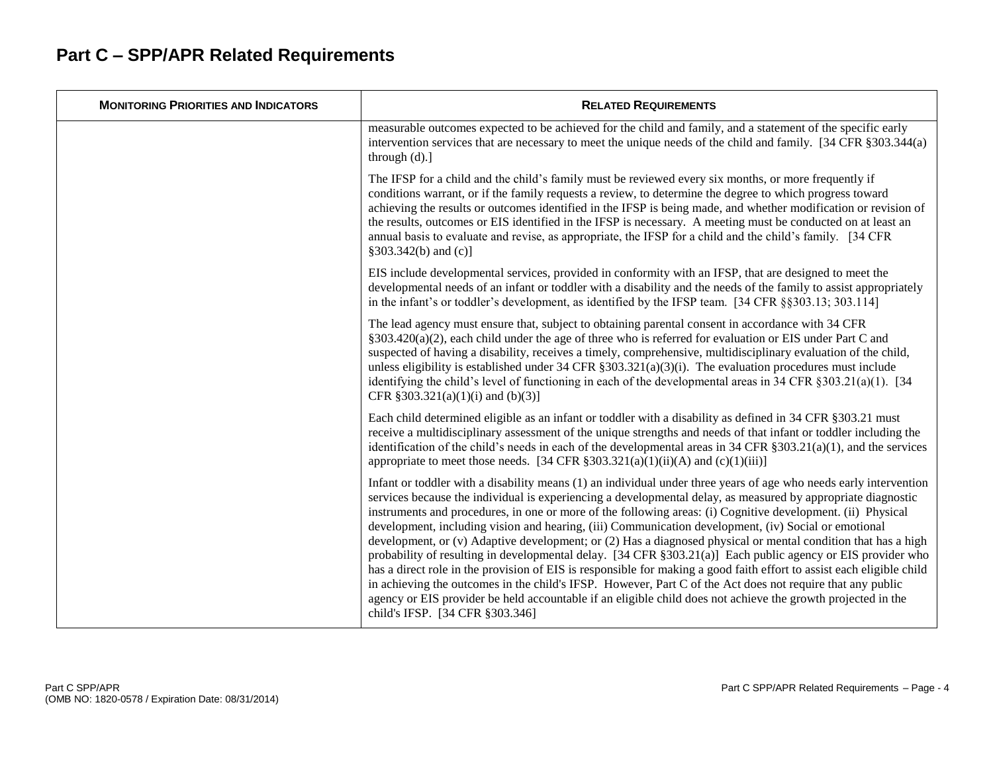| <b>MONITORING PRIORITIES AND INDICATORS</b> | <b>RELATED REQUIREMENTS</b>                                                                                                                                                                                                                                                                                                                                                                                                                                                                                                                                                                                                                                                                                                                                                                                                                                                                                                                                                                                                                                                        |
|---------------------------------------------|------------------------------------------------------------------------------------------------------------------------------------------------------------------------------------------------------------------------------------------------------------------------------------------------------------------------------------------------------------------------------------------------------------------------------------------------------------------------------------------------------------------------------------------------------------------------------------------------------------------------------------------------------------------------------------------------------------------------------------------------------------------------------------------------------------------------------------------------------------------------------------------------------------------------------------------------------------------------------------------------------------------------------------------------------------------------------------|
|                                             | measurable outcomes expected to be achieved for the child and family, and a statement of the specific early<br>intervention services that are necessary to meet the unique needs of the child and family. [34 CFR §303.344(a)<br>through $(d)$ .]                                                                                                                                                                                                                                                                                                                                                                                                                                                                                                                                                                                                                                                                                                                                                                                                                                  |
|                                             | The IFSP for a child and the child's family must be reviewed every six months, or more frequently if<br>conditions warrant, or if the family requests a review, to determine the degree to which progress toward<br>achieving the results or outcomes identified in the IFSP is being made, and whether modification or revision of<br>the results, outcomes or EIS identified in the IFSP is necessary. A meeting must be conducted on at least an<br>annual basis to evaluate and revise, as appropriate, the IFSP for a child and the child's family. [34 CFR<br>§303.342(b) and (c)]                                                                                                                                                                                                                                                                                                                                                                                                                                                                                           |
|                                             | EIS include developmental services, provided in conformity with an IFSP, that are designed to meet the<br>developmental needs of an infant or toddler with a disability and the needs of the family to assist appropriately<br>in the infant's or toddler's development, as identified by the IFSP team. [34 CFR §§303.13; 303.114]                                                                                                                                                                                                                                                                                                                                                                                                                                                                                                                                                                                                                                                                                                                                                |
|                                             | The lead agency must ensure that, subject to obtaining parental consent in accordance with 34 CFR<br>§303.420(a)(2), each child under the age of three who is referred for evaluation or EIS under Part C and<br>suspected of having a disability, receives a timely, comprehensive, multidisciplinary evaluation of the child,<br>unless eligibility is established under 34 CFR $\S 303.321(a)(3)(i)$ . The evaluation procedures must include<br>identifying the child's level of functioning in each of the developmental areas in 34 CFR $\S 303.21(a)(1)$ . [34<br>CFR $§303.321(a)(1)(i)$ and $(b)(3)$ ]                                                                                                                                                                                                                                                                                                                                                                                                                                                                    |
|                                             | Each child determined eligible as an infant or toddler with a disability as defined in 34 CFR §303.21 must<br>receive a multidisciplinary assessment of the unique strengths and needs of that infant or toddler including the<br>identification of the child's needs in each of the developmental areas in 34 CFR $\S 303.21(a)(1)$ , and the services<br>appropriate to meet those needs. [34 CFR $\S 303.321(a)(1)(ii)(A)$ and $(c)(1)(iii)$ ]                                                                                                                                                                                                                                                                                                                                                                                                                                                                                                                                                                                                                                  |
|                                             | Infant or toddler with a disability means (1) an individual under three years of age who needs early intervention<br>services because the individual is experiencing a developmental delay, as measured by appropriate diagnostic<br>instruments and procedures, in one or more of the following areas: (i) Cognitive development. (ii) Physical<br>development, including vision and hearing, (iii) Communication development, (iv) Social or emotional<br>development, or (v) Adaptive development; or (2) Has a diagnosed physical or mental condition that has a high<br>probability of resulting in developmental delay. [34 CFR §303.21(a)] Each public agency or EIS provider who<br>has a direct role in the provision of EIS is responsible for making a good faith effort to assist each eligible child<br>in achieving the outcomes in the child's IFSP. However, Part C of the Act does not require that any public<br>agency or EIS provider be held accountable if an eligible child does not achieve the growth projected in the<br>child's IFSP. [34 CFR §303.346] |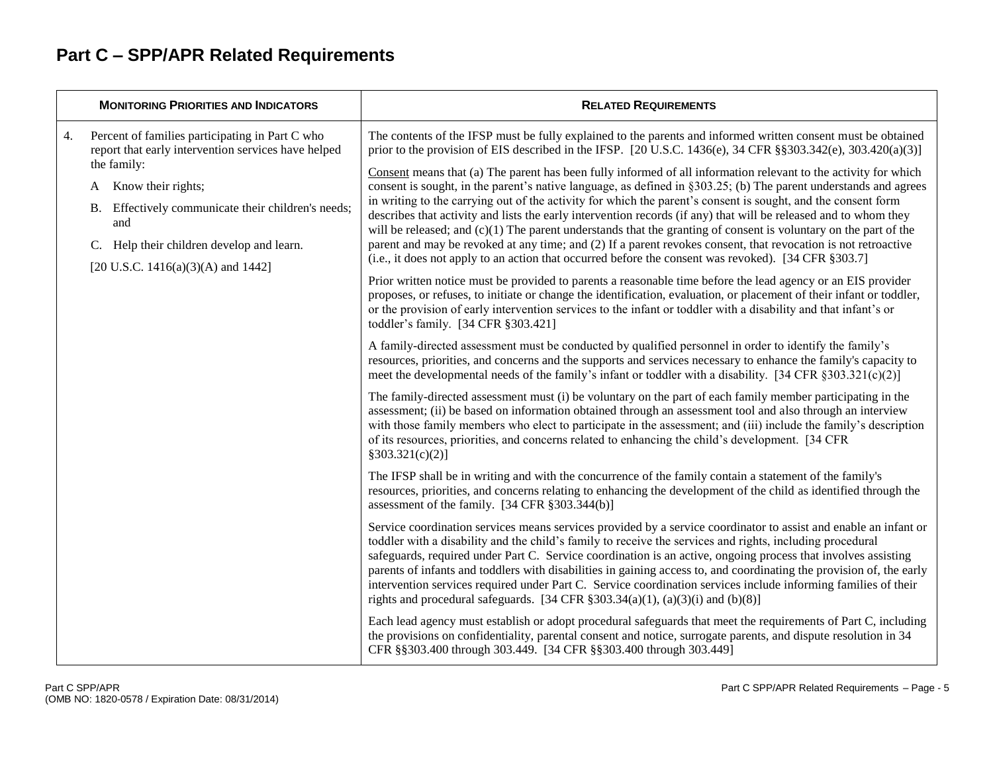|    | <b>MONITORING PRIORITIES AND INDICATORS</b>                                                                                                                                                  | <b>RELATED REQUIREMENTS</b>                                                                                                                                                                                                                                                                                                                                                                                                                                                                                                                                                                                                                                                     |
|----|----------------------------------------------------------------------------------------------------------------------------------------------------------------------------------------------|---------------------------------------------------------------------------------------------------------------------------------------------------------------------------------------------------------------------------------------------------------------------------------------------------------------------------------------------------------------------------------------------------------------------------------------------------------------------------------------------------------------------------------------------------------------------------------------------------------------------------------------------------------------------------------|
| 4. | Percent of families participating in Part C who<br>report that early intervention services have helped                                                                                       | The contents of the IFSP must be fully explained to the parents and informed written consent must be obtained<br>prior to the provision of EIS described in the IFSP. [20 U.S.C. 1436(e), 34 CFR $\S$ \$303.342(e), 303.420(a)(3)]                                                                                                                                                                                                                                                                                                                                                                                                                                              |
|    | the family:<br>Know their rights;<br>A<br>Effectively communicate their children's needs;<br>В.<br>and<br>Help their children develop and learn.<br>C.<br>[20 U.S.C. 1416(a)(3)(A) and 1442] | Consent means that (a) The parent has been fully informed of all information relevant to the activity for which<br>consent is sought, in the parent's native language, as defined in §303.25; (b) The parent understands and agrees<br>in writing to the carrying out of the activity for which the parent's consent is sought, and the consent form                                                                                                                                                                                                                                                                                                                            |
|    |                                                                                                                                                                                              | describes that activity and lists the early intervention records (if any) that will be released and to whom they<br>will be released; and $(c)(1)$ The parent understands that the granting of consent is voluntary on the part of the<br>parent and may be revoked at any time; and (2) If a parent revokes consent, that revocation is not retroactive<br>(i.e., it does not apply to an action that occurred before the consent was revoked). [34 CFR §303.7]                                                                                                                                                                                                                |
|    |                                                                                                                                                                                              | Prior written notice must be provided to parents a reasonable time before the lead agency or an EIS provider<br>proposes, or refuses, to initiate or change the identification, evaluation, or placement of their infant or toddler,<br>or the provision of early intervention services to the infant or toddler with a disability and that infant's or<br>toddler's family. [34 CFR §303.421]                                                                                                                                                                                                                                                                                  |
|    |                                                                                                                                                                                              | A family-directed assessment must be conducted by qualified personnel in order to identify the family's<br>resources, priorities, and concerns and the supports and services necessary to enhance the family's capacity to<br>meet the developmental needs of the family's infant or toddler with a disability. [34 CFR $\S 303.321(c)(2)$ ]                                                                                                                                                                                                                                                                                                                                    |
|    |                                                                                                                                                                                              | The family-directed assessment must (i) be voluntary on the part of each family member participating in the<br>assessment; (ii) be based on information obtained through an assessment tool and also through an interview<br>with those family members who elect to participate in the assessment; and (iii) include the family's description<br>of its resources, priorities, and concerns related to enhancing the child's development. [34 CFR<br>§303.321(c)(2)]                                                                                                                                                                                                            |
|    |                                                                                                                                                                                              | The IFSP shall be in writing and with the concurrence of the family contain a statement of the family's<br>resources, priorities, and concerns relating to enhancing the development of the child as identified through the<br>assessment of the family. $[34 \text{ CFR } \frac{8}{3}303.344(b)]$                                                                                                                                                                                                                                                                                                                                                                              |
|    |                                                                                                                                                                                              | Service coordination services means services provided by a service coordinator to assist and enable an infant or<br>toddler with a disability and the child's family to receive the services and rights, including procedural<br>safeguards, required under Part C. Service coordination is an active, ongoing process that involves assisting<br>parents of infants and toddlers with disabilities in gaining access to, and coordinating the provision of, the early<br>intervention services required under Part C. Service coordination services include informing families of their<br>rights and procedural safeguards. [34 CFR $\S 303.34(a)(1)$ , (a)(3)(i) and (b)(8)] |
|    |                                                                                                                                                                                              | Each lead agency must establish or adopt procedural safeguards that meet the requirements of Part C, including<br>the provisions on confidentiality, parental consent and notice, surrogate parents, and dispute resolution in 34<br>CFR §§303.400 through 303.449. [34 CFR §§303.400 through 303.449]                                                                                                                                                                                                                                                                                                                                                                          |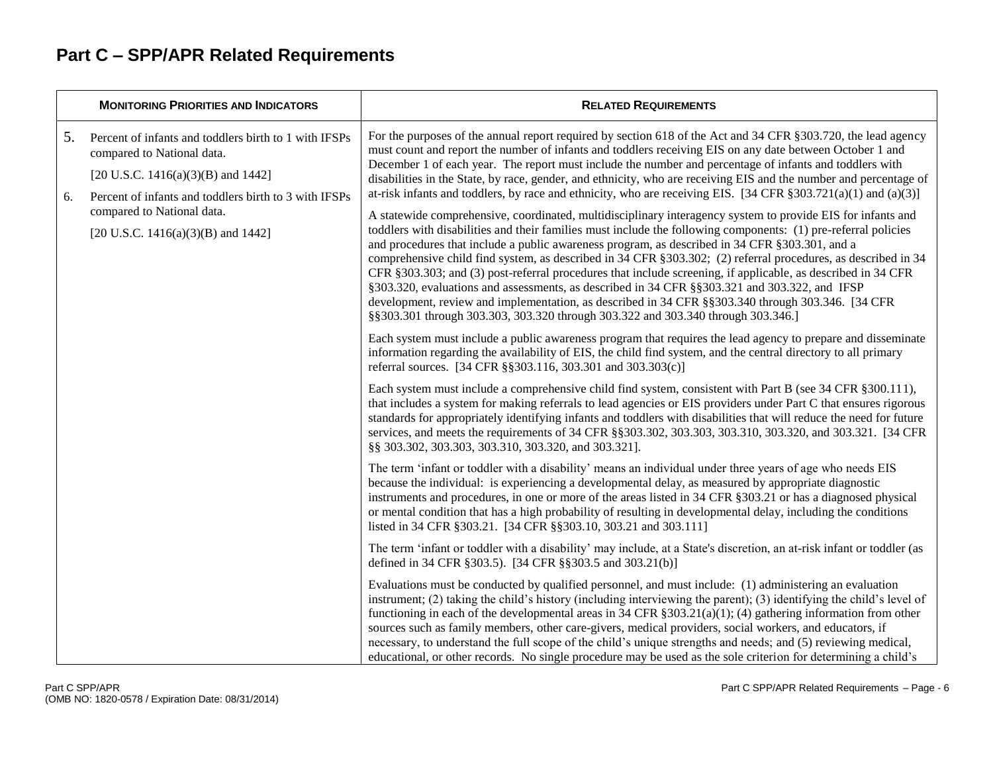|          | <b>MONITORING PRIORITIES AND INDICATORS</b>                                                                                                                                        | <b>RELATED REQUIREMENTS</b>                                                                                                                                                                                                                                                                                                                                                                                                                                                                                                                                                                                                                                                                                                                                                                                                                                |
|----------|------------------------------------------------------------------------------------------------------------------------------------------------------------------------------------|------------------------------------------------------------------------------------------------------------------------------------------------------------------------------------------------------------------------------------------------------------------------------------------------------------------------------------------------------------------------------------------------------------------------------------------------------------------------------------------------------------------------------------------------------------------------------------------------------------------------------------------------------------------------------------------------------------------------------------------------------------------------------------------------------------------------------------------------------------|
| 5.<br>6. | Percent of infants and toddlers birth to 1 with IFSPs<br>compared to National data.<br>[20 U.S.C. 1416(a)(3)(B) and 1442]<br>Percent of infants and toddlers birth to 3 with IFSPs | For the purposes of the annual report required by section 618 of the Act and 34 CFR §303.720, the lead agency<br>must count and report the number of infants and toddlers receiving EIS on any date between October 1 and<br>December 1 of each year. The report must include the number and percentage of infants and toddlers with<br>disabilities in the State, by race, gender, and ethnicity, who are receiving EIS and the number and percentage of<br>at-risk infants and toddlers, by race and ethnicity, who are receiving EIS. [34 CFR $\S 303.721(a)(1)$ and (a)(3)]                                                                                                                                                                                                                                                                            |
|          | compared to National data.<br>[20 U.S.C. 1416(a)(3)(B) and 1442]                                                                                                                   | A statewide comprehensive, coordinated, multidisciplinary interagency system to provide EIS for infants and<br>toddlers with disabilities and their families must include the following components: (1) pre-referral policies<br>and procedures that include a public awareness program, as described in 34 CFR §303.301, and a<br>comprehensive child find system, as described in 34 CFR §303.302; (2) referral procedures, as described in 34<br>CFR §303.303; and (3) post-referral procedures that include screening, if applicable, as described in 34 CFR<br>§303.320, evaluations and assessments, as described in 34 CFR §§303.321 and 303.322, and IFSP<br>development, review and implementation, as described in 34 CFR §§303.340 through 303.346. [34 CFR<br>§§303.301 through 303.303, 303.320 through 303.322 and 303.340 through 303.346.] |
|          |                                                                                                                                                                                    | Each system must include a public awareness program that requires the lead agency to prepare and disseminate<br>information regarding the availability of EIS, the child find system, and the central directory to all primary<br>referral sources. [34 CFR §§303.116, 303.301 and 303.303(c)]                                                                                                                                                                                                                                                                                                                                                                                                                                                                                                                                                             |
|          |                                                                                                                                                                                    | Each system must include a comprehensive child find system, consistent with Part B (see 34 CFR § 300.111),<br>that includes a system for making referrals to lead agencies or EIS providers under Part C that ensures rigorous<br>standards for appropriately identifying infants and toddlers with disabilities that will reduce the need for future<br>services, and meets the requirements of 34 CFR §§303.302, 303.303, 303.310, 303.320, and 303.321. [34 CFR<br>§§ 303.302, 303.303, 303.310, 303.320, and 303.321].                                                                                                                                                                                                                                                                                                                                 |
|          |                                                                                                                                                                                    | The term 'infant or toddler with a disability' means an individual under three years of age who needs EIS<br>because the individual: is experiencing a developmental delay, as measured by appropriate diagnostic<br>instruments and procedures, in one or more of the areas listed in 34 CFR § 303.21 or has a diagnosed physical<br>or mental condition that has a high probability of resulting in developmental delay, including the conditions<br>listed in 34 CFR § 303.21. [34 CFR § § 303.10, 303.21 and 303.111]                                                                                                                                                                                                                                                                                                                                  |
|          |                                                                                                                                                                                    | The term 'infant or toddler with a disability' may include, at a State's discretion, an at-risk infant or toddler (as<br>defined in 34 CFR § 303.5). [34 CFR § § 303.5 and 303.21(b)]                                                                                                                                                                                                                                                                                                                                                                                                                                                                                                                                                                                                                                                                      |
|          |                                                                                                                                                                                    | Evaluations must be conducted by qualified personnel, and must include: (1) administering an evaluation<br>instrument; (2) taking the child's history (including interviewing the parent); (3) identifying the child's level of<br>functioning in each of the developmental areas in 34 CFR $\S 303.21(a)(1)$ ; (4) gathering information from other<br>sources such as family members, other care-givers, medical providers, social workers, and educators, if<br>necessary, to understand the full scope of the child's unique strengths and needs; and (5) reviewing medical,<br>educational, or other records. No single procedure may be used as the sole criterion for determining a child's                                                                                                                                                         |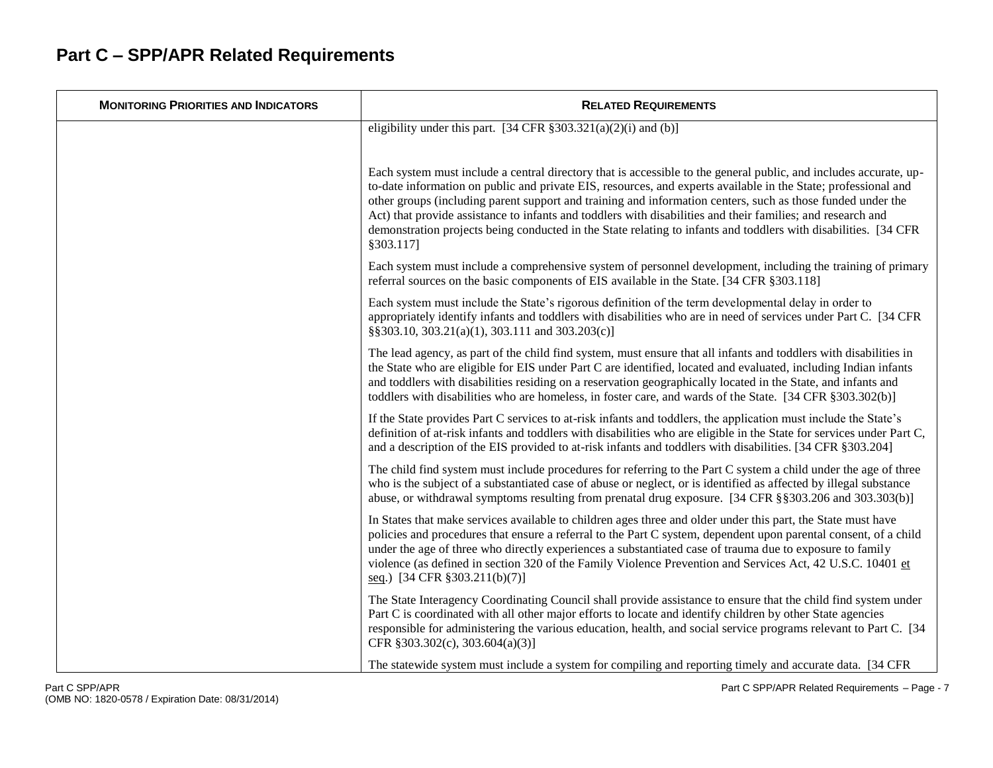| <b>MONITORING PRIORITIES AND INDICATORS</b> | <b>RELATED REQUIREMENTS</b>                                                                                                                                                                                                                                                                                                                                                                                                                                                                                                                                                                       |
|---------------------------------------------|---------------------------------------------------------------------------------------------------------------------------------------------------------------------------------------------------------------------------------------------------------------------------------------------------------------------------------------------------------------------------------------------------------------------------------------------------------------------------------------------------------------------------------------------------------------------------------------------------|
|                                             | eligibility under this part. [34 CFR $\S 303.321(a)(2)(i)$ and (b)]                                                                                                                                                                                                                                                                                                                                                                                                                                                                                                                               |
|                                             | Each system must include a central directory that is accessible to the general public, and includes accurate, up-<br>to-date information on public and private EIS, resources, and experts available in the State; professional and<br>other groups (including parent support and training and information centers, such as those funded under the<br>Act) that provide assistance to infants and toddlers with disabilities and their families; and research and<br>demonstration projects being conducted in the State relating to infants and toddlers with disabilities. [34 CFR<br>§303.117] |
|                                             | Each system must include a comprehensive system of personnel development, including the training of primary<br>referral sources on the basic components of EIS available in the State. [34 CFR § 303.118]                                                                                                                                                                                                                                                                                                                                                                                         |
|                                             | Each system must include the State's rigorous definition of the term developmental delay in order to<br>appropriately identify infants and toddlers with disabilities who are in need of services under Part C. [34 CFR<br>§§303.10, 303.21(a)(1), 303.111 and 303.203(c)]                                                                                                                                                                                                                                                                                                                        |
|                                             | The lead agency, as part of the child find system, must ensure that all infants and toddlers with disabilities in<br>the State who are eligible for EIS under Part C are identified, located and evaluated, including Indian infants<br>and toddlers with disabilities residing on a reservation geographically located in the State, and infants and<br>toddlers with disabilities who are homeless, in foster care, and wards of the State. [34 CFR §303.302(b)]                                                                                                                                |
|                                             | If the State provides Part C services to at-risk infants and toddlers, the application must include the State's<br>definition of at-risk infants and toddlers with disabilities who are eligible in the State for services under Part C,<br>and a description of the EIS provided to at-risk infants and toddlers with disabilities. [34 CFR § 303.204]                                                                                                                                                                                                                                           |
|                                             | The child find system must include procedures for referring to the Part C system a child under the age of three<br>who is the subject of a substantiated case of abuse or neglect, or is identified as affected by illegal substance<br>abuse, or withdrawal symptoms resulting from prenatal drug exposure. [34 CFR §§303.206 and 303.303(b)]                                                                                                                                                                                                                                                    |
|                                             | In States that make services available to children ages three and older under this part, the State must have<br>policies and procedures that ensure a referral to the Part C system, dependent upon parental consent, of a child<br>under the age of three who directly experiences a substantiated case of trauma due to exposure to family<br>violence (as defined in section 320 of the Family Violence Prevention and Services Act, 42 U.S.C. 10401 et<br>seq.) [34 CFR § 303.211(b)(7)]                                                                                                      |
|                                             | The State Interagency Coordinating Council shall provide assistance to ensure that the child find system under<br>Part C is coordinated with all other major efforts to locate and identify children by other State agencies<br>responsible for administering the various education, health, and social service programs relevant to Part C. [34]<br>CFR $§303.302(c)$ , 303.604(a)(3)]                                                                                                                                                                                                           |
|                                             | The statewide system must include a system for compiling and reporting timely and accurate data. [34 CFR                                                                                                                                                                                                                                                                                                                                                                                                                                                                                          |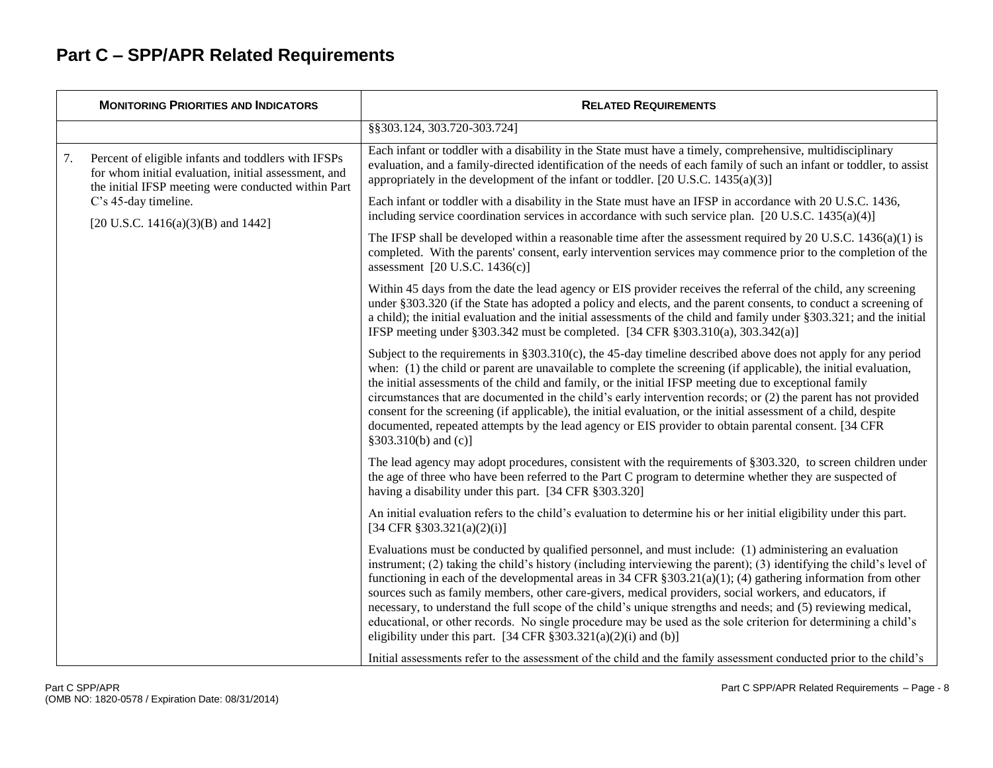|    | <b>MONITORING PRIORITIES AND INDICATORS</b>                                                                                                                                                                                      | <b>RELATED REQUIREMENTS</b>                                                                                                                                                                                                                                                                                                                                                                                                                                                                                                                                                                                                                                                                                                                                               |
|----|----------------------------------------------------------------------------------------------------------------------------------------------------------------------------------------------------------------------------------|---------------------------------------------------------------------------------------------------------------------------------------------------------------------------------------------------------------------------------------------------------------------------------------------------------------------------------------------------------------------------------------------------------------------------------------------------------------------------------------------------------------------------------------------------------------------------------------------------------------------------------------------------------------------------------------------------------------------------------------------------------------------------|
|    |                                                                                                                                                                                                                                  | §§303.124, 303.720-303.724]                                                                                                                                                                                                                                                                                                                                                                                                                                                                                                                                                                                                                                                                                                                                               |
| 7. | Percent of eligible infants and toddlers with IFSPs<br>for whom initial evaluation, initial assessment, and<br>the initial IFSP meeting were conducted within Part<br>C's 45-day timeline.<br>[20 U.S.C. 1416(a)(3)(B) and 1442] | Each infant or toddler with a disability in the State must have a timely, comprehensive, multidisciplinary<br>evaluation, and a family-directed identification of the needs of each family of such an infant or toddler, to assist<br>appropriately in the development of the infant or toddler. [20 U.S.C. $1435(a)(3)$ ]                                                                                                                                                                                                                                                                                                                                                                                                                                                |
|    |                                                                                                                                                                                                                                  | Each infant or toddler with a disability in the State must have an IFSP in accordance with 20 U.S.C. 1436,<br>including service coordination services in accordance with such service plan. $[20 \text{ U.S.C. } 1435(a)(4)]$                                                                                                                                                                                                                                                                                                                                                                                                                                                                                                                                             |
|    |                                                                                                                                                                                                                                  | The IFSP shall be developed within a reasonable time after the assessment required by 20 U.S.C. $1436(a)(1)$ is<br>completed. With the parents' consent, early intervention services may commence prior to the completion of the<br>assessment [20 U.S.C. 1436(c)]                                                                                                                                                                                                                                                                                                                                                                                                                                                                                                        |
|    |                                                                                                                                                                                                                                  | Within 45 days from the date the lead agency or EIS provider receives the referral of the child, any screening<br>under §303.320 (if the State has adopted a policy and elects, and the parent consents, to conduct a screening of<br>a child); the initial evaluation and the initial assessments of the child and family under §303.321; and the initial<br>IFSP meeting under §303.342 must be completed. [34 CFR §303.310(a), 303.342(a)]                                                                                                                                                                                                                                                                                                                             |
|    |                                                                                                                                                                                                                                  | Subject to the requirements in $\S 303.310(c)$ , the 45-day timeline described above does not apply for any period<br>when: (1) the child or parent are unavailable to complete the screening (if applicable), the initial evaluation,<br>the initial assessments of the child and family, or the initial IFSP meeting due to exceptional family<br>circumstances that are documented in the child's early intervention records; or (2) the parent has not provided<br>consent for the screening (if applicable), the initial evaluation, or the initial assessment of a child, despite<br>documented, repeated attempts by the lead agency or EIS provider to obtain parental consent. [34 CFR<br>§303.310(b) and (c)]                                                   |
|    |                                                                                                                                                                                                                                  | The lead agency may adopt procedures, consistent with the requirements of §303.320, to screen children under<br>the age of three who have been referred to the Part C program to determine whether they are suspected of<br>having a disability under this part. [34 CFR §303.320]                                                                                                                                                                                                                                                                                                                                                                                                                                                                                        |
|    |                                                                                                                                                                                                                                  | An initial evaluation refers to the child's evaluation to determine his or her initial eligibility under this part.<br>[34 CFR $§303.321(a)(2)(i)$ ]                                                                                                                                                                                                                                                                                                                                                                                                                                                                                                                                                                                                                      |
|    |                                                                                                                                                                                                                                  | Evaluations must be conducted by qualified personnel, and must include: (1) administering an evaluation<br>instrument; (2) taking the child's history (including interviewing the parent); (3) identifying the child's level of<br>functioning in each of the developmental areas in 34 CFR $\S 303.21(a)(1)$ ; (4) gathering information from other<br>sources such as family members, other care-givers, medical providers, social workers, and educators, if<br>necessary, to understand the full scope of the child's unique strengths and needs; and (5) reviewing medical,<br>educational, or other records. No single procedure may be used as the sole criterion for determining a child's<br>eligibility under this part. [34 CFR $\S 303.321(a)(2)(i)$ and (b)] |
|    |                                                                                                                                                                                                                                  | Initial assessments refer to the assessment of the child and the family assessment conducted prior to the child's                                                                                                                                                                                                                                                                                                                                                                                                                                                                                                                                                                                                                                                         |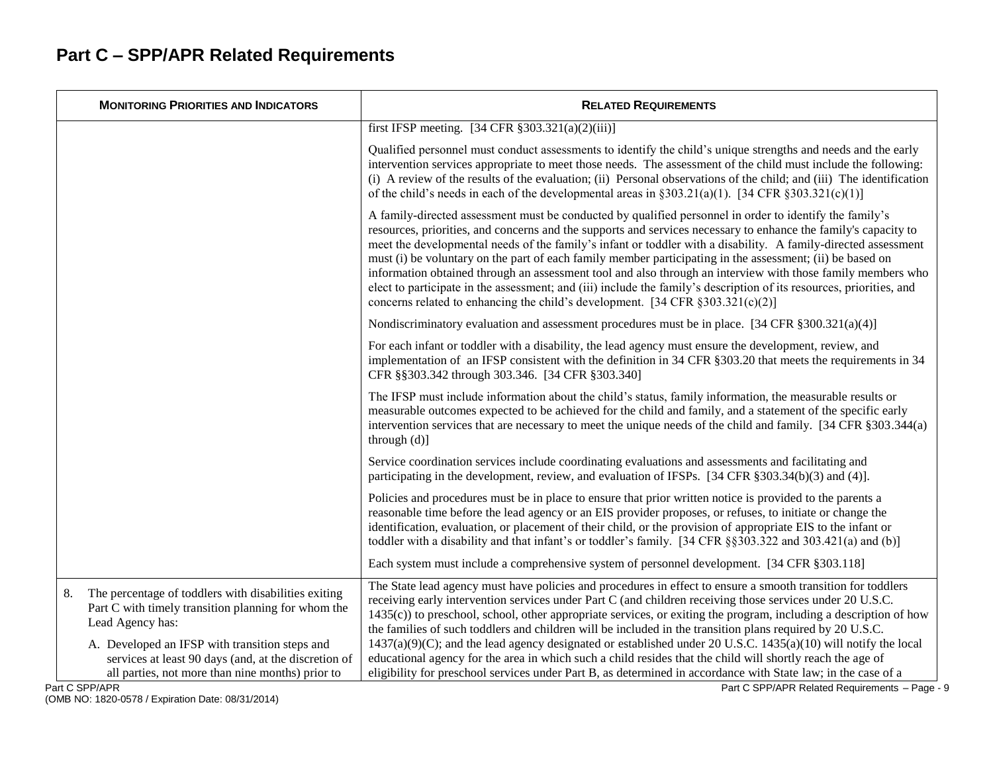| <b>MONITORING PRIORITIES AND INDICATORS</b>                                                                                                                                             | <b>RELATED REQUIREMENTS</b>                                                                                                                                                                                                                                                                                                                                                                                                                                                                                                                                                                                                                                                                                                                                                             |
|-----------------------------------------------------------------------------------------------------------------------------------------------------------------------------------------|-----------------------------------------------------------------------------------------------------------------------------------------------------------------------------------------------------------------------------------------------------------------------------------------------------------------------------------------------------------------------------------------------------------------------------------------------------------------------------------------------------------------------------------------------------------------------------------------------------------------------------------------------------------------------------------------------------------------------------------------------------------------------------------------|
|                                                                                                                                                                                         | first IFSP meeting. $[34 \text{ CFR } \frac{2}{3}303.321(a)(2)(iii)]$                                                                                                                                                                                                                                                                                                                                                                                                                                                                                                                                                                                                                                                                                                                   |
|                                                                                                                                                                                         | Qualified personnel must conduct assessments to identify the child's unique strengths and needs and the early<br>intervention services appropriate to meet those needs. The assessment of the child must include the following:<br>(i) A review of the results of the evaluation; (ii) Personal observations of the child; and (iii) The identification<br>of the child's needs in each of the developmental areas in $\S 303.21(a)(1)$ . [34 CFR $\S 303.321(c)(1)$ ]                                                                                                                                                                                                                                                                                                                  |
|                                                                                                                                                                                         | A family-directed assessment must be conducted by qualified personnel in order to identify the family's<br>resources, priorities, and concerns and the supports and services necessary to enhance the family's capacity to<br>meet the developmental needs of the family's infant or toddler with a disability. A family-directed assessment<br>must (i) be voluntary on the part of each family member participating in the assessment; (ii) be based on<br>information obtained through an assessment tool and also through an interview with those family members who<br>elect to participate in the assessment; and (iii) include the family's description of its resources, priorities, and<br>concerns related to enhancing the child's development. [34 CFR $\S 303.321(c)(2)$ ] |
|                                                                                                                                                                                         | Nondiscriminatory evaluation and assessment procedures must be in place. [34 CFR §300.321(a)(4)]                                                                                                                                                                                                                                                                                                                                                                                                                                                                                                                                                                                                                                                                                        |
|                                                                                                                                                                                         | For each infant or toddler with a disability, the lead agency must ensure the development, review, and<br>implementation of an IFSP consistent with the definition in 34 CFR §303.20 that meets the requirements in 34<br>CFR §§303.342 through 303.346. [34 CFR §303.340]                                                                                                                                                                                                                                                                                                                                                                                                                                                                                                              |
|                                                                                                                                                                                         | The IFSP must include information about the child's status, family information, the measurable results or<br>measurable outcomes expected to be achieved for the child and family, and a statement of the specific early<br>intervention services that are necessary to meet the unique needs of the child and family. [34 CFR §303.344(a)<br>through $(d)$ ]                                                                                                                                                                                                                                                                                                                                                                                                                           |
|                                                                                                                                                                                         | Service coordination services include coordinating evaluations and assessments and facilitating and<br>participating in the development, review, and evaluation of IFSPs. [34 CFR §303.34(b)(3) and (4)].                                                                                                                                                                                                                                                                                                                                                                                                                                                                                                                                                                               |
|                                                                                                                                                                                         | Policies and procedures must be in place to ensure that prior written notice is provided to the parents a<br>reasonable time before the lead agency or an EIS provider proposes, or refuses, to initiate or change the<br>identification, evaluation, or placement of their child, or the provision of appropriate EIS to the infant or<br>toddler with a disability and that infant's or toddler's family. [34 CFR §§303.322 and 303.421(a) and (b)]                                                                                                                                                                                                                                                                                                                                   |
|                                                                                                                                                                                         | Each system must include a comprehensive system of personnel development. [34 CFR § 303.118]                                                                                                                                                                                                                                                                                                                                                                                                                                                                                                                                                                                                                                                                                            |
| The percentage of toddlers with disabilities exiting<br>8.<br>Part C with timely transition planning for whom the<br>Lead Agency has:<br>A. Developed an IFSP with transition steps and | The State lead agency must have policies and procedures in effect to ensure a smooth transition for toddlers<br>receiving early intervention services under Part C (and children receiving those services under 20 U.S.C.<br>$1435(c)$ to preschool, school, other appropriate services, or exiting the program, including a description of how<br>the families of such toddlers and children will be included in the transition plans required by 20 U.S.C.<br>$1437(a)(9)(C)$ ; and the lead agency designated or established under 20 U.S.C. $1435(a)(10)$ will notify the local                                                                                                                                                                                                     |
| services at least 90 days (and, at the discretion of<br>all parties, not more than nine months) prior to<br>Part C SPP/APR                                                              | educational agency for the area in which such a child resides that the child will shortly reach the age of<br>eligibility for preschool services under Part B, as determined in accordance with State law; in the case of a<br>Part C SPP/APR Related Requirements - Page - 9                                                                                                                                                                                                                                                                                                                                                                                                                                                                                                           |

(OMB NO: 1820-0578 / Expiration Date: 08/31/2014)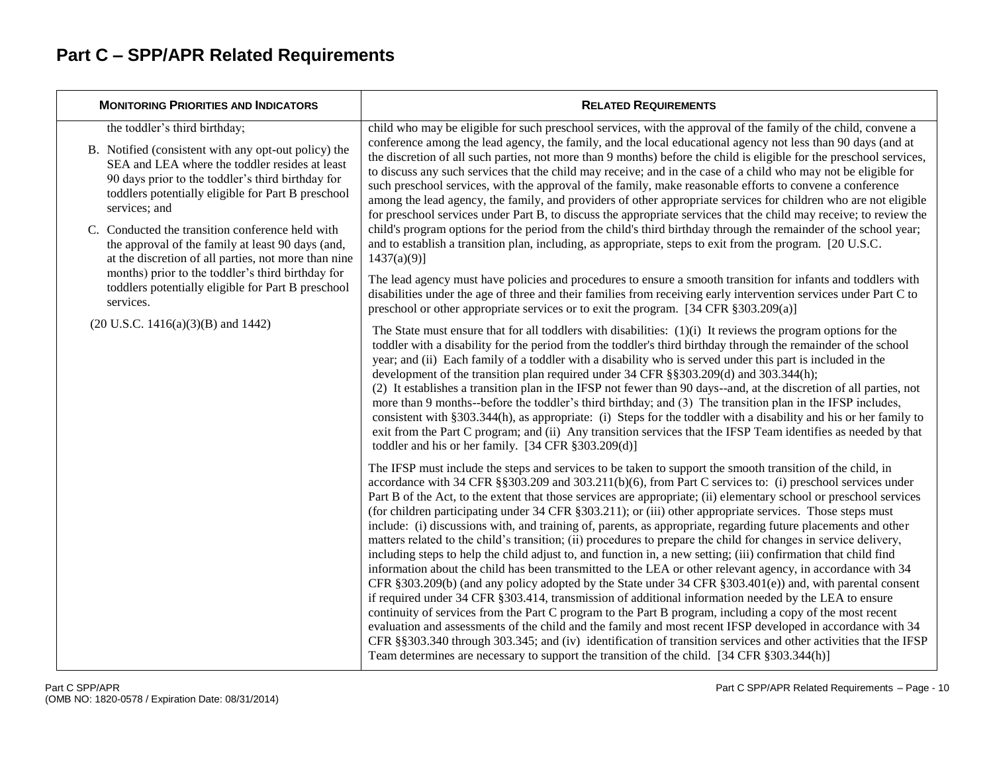| <b>MONITORING PRIORITIES AND INDICATORS</b>                                                                                                                                                                                                                                           | <b>RELATED REQUIREMENTS</b>                                                                                                                                                                                                                                                                                                                                                                                                                                                                                                                                                                                                                                                                                                                                                                                                                                                                                                                                                                                                                                                                                                                                                                                                                                                                                                                                                                                                                                                                                                                                                                                   |
|---------------------------------------------------------------------------------------------------------------------------------------------------------------------------------------------------------------------------------------------------------------------------------------|---------------------------------------------------------------------------------------------------------------------------------------------------------------------------------------------------------------------------------------------------------------------------------------------------------------------------------------------------------------------------------------------------------------------------------------------------------------------------------------------------------------------------------------------------------------------------------------------------------------------------------------------------------------------------------------------------------------------------------------------------------------------------------------------------------------------------------------------------------------------------------------------------------------------------------------------------------------------------------------------------------------------------------------------------------------------------------------------------------------------------------------------------------------------------------------------------------------------------------------------------------------------------------------------------------------------------------------------------------------------------------------------------------------------------------------------------------------------------------------------------------------------------------------------------------------------------------------------------------------|
| the toddler's third birthday;<br>B. Notified (consistent with any opt-out policy) the<br>SEA and LEA where the toddler resides at least<br>90 days prior to the toddler's third birthday for<br>toddlers potentially eligible for Part B preschool<br>services; and                   | child who may be eligible for such preschool services, with the approval of the family of the child, convene a<br>conference among the lead agency, the family, and the local educational agency not less than 90 days (and at<br>the discretion of all such parties, not more than 9 months) before the child is eligible for the preschool services,<br>to discuss any such services that the child may receive; and in the case of a child who may not be eligible for<br>such preschool services, with the approval of the family, make reasonable efforts to convene a conference<br>among the lead agency, the family, and providers of other appropriate services for children who are not eligible<br>for preschool services under Part B, to discuss the appropriate services that the child may receive; to review the                                                                                                                                                                                                                                                                                                                                                                                                                                                                                                                                                                                                                                                                                                                                                                              |
| C. Conducted the transition conference held with<br>the approval of the family at least 90 days (and,<br>at the discretion of all parties, not more than nine<br>months) prior to the toddler's third birthday for<br>toddlers potentially eligible for Part B preschool<br>services. | child's program options for the period from the child's third birthday through the remainder of the school year;<br>and to establish a transition plan, including, as appropriate, steps to exit from the program. [20 U.S.C.]<br>$1437(a)(9)$ ]<br>The lead agency must have policies and procedures to ensure a smooth transition for infants and toddlers with<br>disabilities under the age of three and their families from receiving early intervention services under Part C to<br>preschool or other appropriate services or to exit the program. [34 CFR $\S 303.209(a)$ ]                                                                                                                                                                                                                                                                                                                                                                                                                                                                                                                                                                                                                                                                                                                                                                                                                                                                                                                                                                                                                           |
| $(20 U.S.C. 1416(a)(3)(B)$ and 1442)                                                                                                                                                                                                                                                  | The State must ensure that for all toddlers with disabilities: $(1)(i)$ It reviews the program options for the<br>toddler with a disability for the period from the toddler's third birthday through the remainder of the school<br>year; and (ii) Each family of a toddler with a disability who is served under this part is included in the<br>development of the transition plan required under 34 CFR §§303.209(d) and 303.344(h);<br>(2) It establishes a transition plan in the IFSP not fewer than 90 days--and, at the discretion of all parties, not<br>more than 9 months--before the toddler's third birthday; and (3) The transition plan in the IFSP includes,<br>consistent with §303.344(h), as appropriate: (i) Steps for the toddler with a disability and his or her family to<br>exit from the Part C program; and (ii) Any transition services that the IFSP Team identifies as needed by that<br>toddler and his or her family. [34 CFR §303.209(d)]                                                                                                                                                                                                                                                                                                                                                                                                                                                                                                                                                                                                                                    |
|                                                                                                                                                                                                                                                                                       | The IFSP must include the steps and services to be taken to support the smooth transition of the child, in<br>accordance with 34 CFR $\S$ §303.209 and 303.211(b)(6), from Part C services to: (i) preschool services under<br>Part B of the Act, to the extent that those services are appropriate; (ii) elementary school or preschool services<br>(for children participating under 34 CFR § 303.211); or (iii) other appropriate services. Those steps must<br>include: (i) discussions with, and training of, parents, as appropriate, regarding future placements and other<br>matters related to the child's transition; (ii) procedures to prepare the child for changes in service delivery,<br>including steps to help the child adjust to, and function in, a new setting; (iii) confirmation that child find<br>information about the child has been transmitted to the LEA or other relevant agency, in accordance with 34<br>CFR §303.209(b) (and any policy adopted by the State under 34 CFR §303.401(e)) and, with parental consent<br>if required under 34 CFR § 303.414, transmission of additional information needed by the LEA to ensure<br>continuity of services from the Part C program to the Part B program, including a copy of the most recent<br>evaluation and assessments of the child and the family and most recent IFSP developed in accordance with 34<br>CFR §§303.340 through 303.345; and (iv) identification of transition services and other activities that the IFSP<br>Team determines are necessary to support the transition of the child. [34 CFR § 303.344(h)] |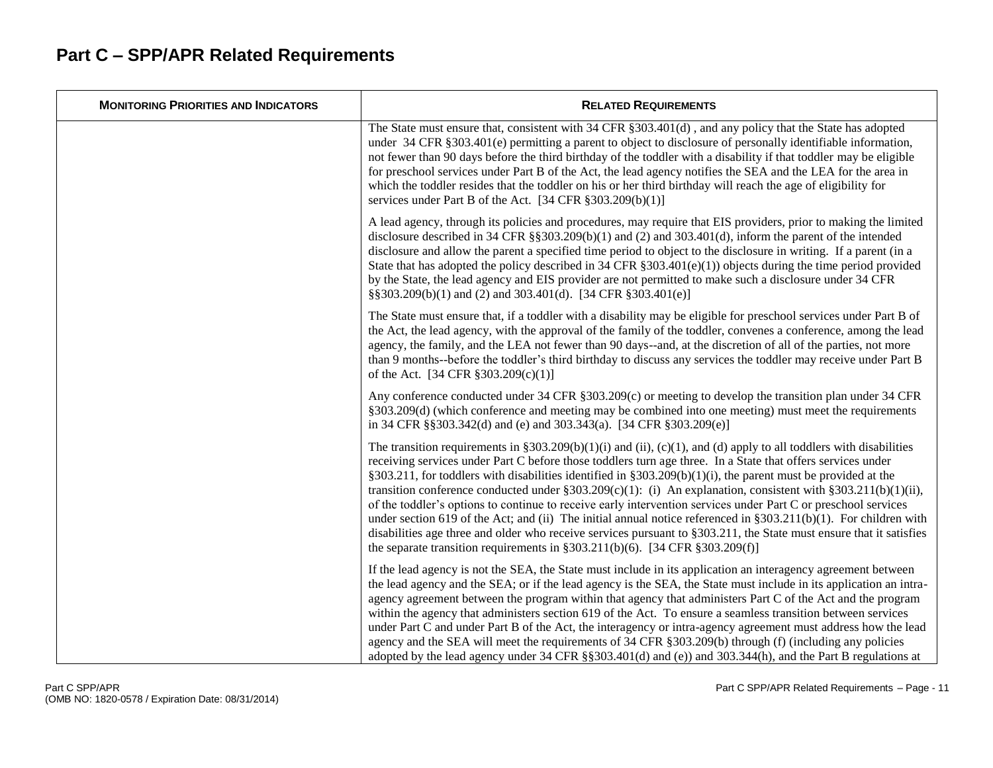| <b>MONITORING PRIORITIES AND INDICATORS</b> | <b>RELATED REQUIREMENTS</b>                                                                                                                                                                                                                                                                                                                                                                                                                                                                                                                                                                                                                                                                                                                                                                                                                                                                                                              |
|---------------------------------------------|------------------------------------------------------------------------------------------------------------------------------------------------------------------------------------------------------------------------------------------------------------------------------------------------------------------------------------------------------------------------------------------------------------------------------------------------------------------------------------------------------------------------------------------------------------------------------------------------------------------------------------------------------------------------------------------------------------------------------------------------------------------------------------------------------------------------------------------------------------------------------------------------------------------------------------------|
|                                             | The State must ensure that, consistent with 34 CFR §303.401(d), and any policy that the State has adopted<br>under 34 CFR §303.401(e) permitting a parent to object to disclosure of personally identifiable information,<br>not fewer than 90 days before the third birthday of the toddler with a disability if that toddler may be eligible<br>for preschool services under Part B of the Act, the lead agency notifies the SEA and the LEA for the area in<br>which the toddler resides that the toddler on his or her third birthday will reach the age of eligibility for<br>services under Part B of the Act. [34 CFR $\S 303.209(b)(1)$ ]                                                                                                                                                                                                                                                                                        |
|                                             | A lead agency, through its policies and procedures, may require that EIS providers, prior to making the limited<br>disclosure described in 34 CFR $\S$ $\S$ 303.209(b)(1) and (2) and 303.401(d), inform the parent of the intended<br>disclosure and allow the parent a specified time period to object to the disclosure in writing. If a parent (in a<br>State that has adopted the policy described in 34 CFR $\S 303.401(e)(1)$ objects during the time period provided<br>by the State, the lead agency and EIS provider are not permitted to make such a disclosure under 34 CFR<br>§§303.209(b)(1) and (2) and 303.401(d). [34 CFR §303.401(e)]                                                                                                                                                                                                                                                                                  |
|                                             | The State must ensure that, if a toddler with a disability may be eligible for preschool services under Part B of<br>the Act, the lead agency, with the approval of the family of the toddler, convenes a conference, among the lead<br>agency, the family, and the LEA not fewer than 90 days--and, at the discretion of all of the parties, not more<br>than 9 months--before the toddler's third birthday to discuss any services the toddler may receive under Part B<br>of the Act. [34 CFR § 303.209(c)(1)]                                                                                                                                                                                                                                                                                                                                                                                                                        |
|                                             | Any conference conducted under 34 CFR $\S 303.209(c)$ or meeting to develop the transition plan under 34 CFR<br>§303.209(d) (which conference and meeting may be combined into one meeting) must meet the requirements<br>in 34 CFR §§303.342(d) and (e) and 303.343(a). [34 CFR §303.209(e)]                                                                                                                                                                                                                                                                                                                                                                                                                                                                                                                                                                                                                                            |
|                                             | The transition requirements in §303.209(b)(1)(i) and (ii), (c)(1), and (d) apply to all toddlers with disabilities<br>receiving services under Part C before those toddlers turn age three. In a State that offers services under<br>§303.211, for toddlers with disabilities identified in §303.209(b)(1)(i), the parent must be provided at the<br>transition conference conducted under $\S 303.209(c)(1)$ : (i) An explanation, consistent with $\S 303.211(b)(1)(ii)$ ,<br>of the toddler's options to continue to receive early intervention services under Part C or preschool services<br>under section 619 of the Act; and (ii) The initial annual notice referenced in $\S 303.211(b)(1)$ . For children with<br>disabilities age three and older who receive services pursuant to §303.211, the State must ensure that it satisfies<br>the separate transition requirements in $\S 303.211(b)(6)$ . [34 CFR $\S 303.209(f)$ ] |
|                                             | If the lead agency is not the SEA, the State must include in its application an interagency agreement between<br>the lead agency and the SEA; or if the lead agency is the SEA, the State must include in its application an intra-<br>agency agreement between the program within that agency that administers Part C of the Act and the program<br>within the agency that administers section 619 of the Act. To ensure a seamless transition between services<br>under Part C and under Part B of the Act, the interagency or intra-agency agreement must address how the lead<br>agency and the SEA will meet the requirements of 34 CFR § 303.209(b) through (f) (including any policies<br>adopted by the lead agency under $34$ CFR §§303.401(d) and (e)) and $303.344(h)$ , and the Part B regulations at                                                                                                                        |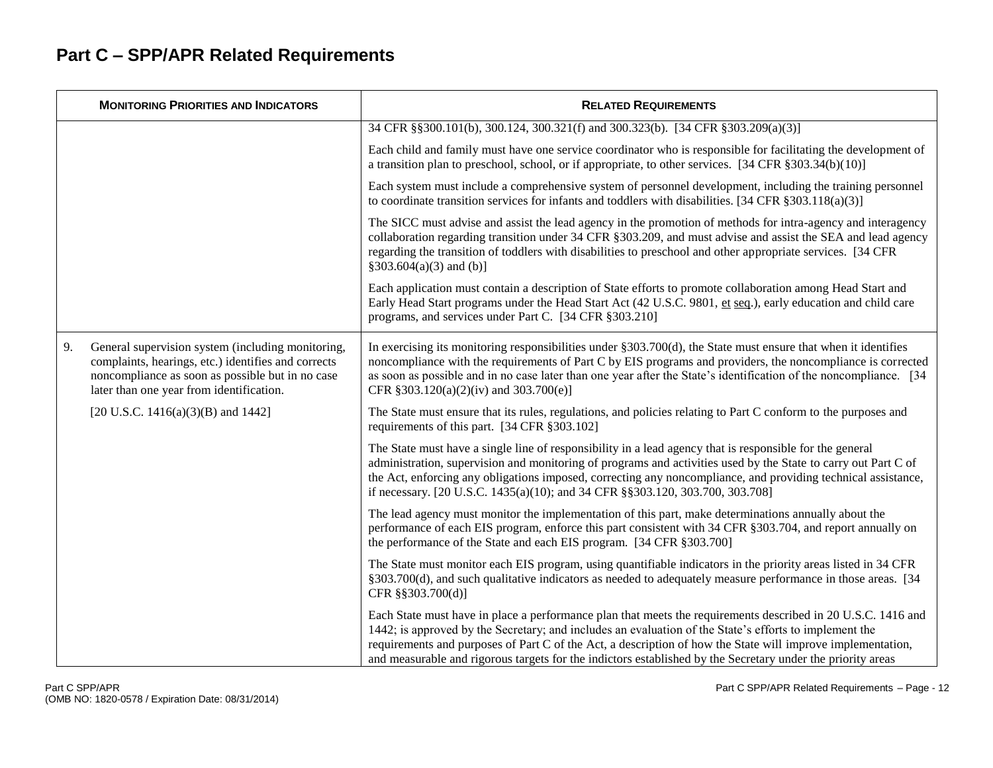|    | <b>MONITORING PRIORITIES AND INDICATORS</b>                                                                                                                                                              | <b>RELATED REQUIREMENTS</b>                                                                                                                                                                                                                                                                                                                                                                                                                          |
|----|----------------------------------------------------------------------------------------------------------------------------------------------------------------------------------------------------------|------------------------------------------------------------------------------------------------------------------------------------------------------------------------------------------------------------------------------------------------------------------------------------------------------------------------------------------------------------------------------------------------------------------------------------------------------|
|    |                                                                                                                                                                                                          | 34 CFR §§300.101(b), 300.124, 300.321(f) and 300.323(b). [34 CFR §303.209(a)(3)]                                                                                                                                                                                                                                                                                                                                                                     |
|    |                                                                                                                                                                                                          | Each child and family must have one service coordinator who is responsible for facilitating the development of<br>a transition plan to preschool, school, or if appropriate, to other services. [34 CFR § 303.34(b)(10)]                                                                                                                                                                                                                             |
|    |                                                                                                                                                                                                          | Each system must include a comprehensive system of personnel development, including the training personnel<br>to coordinate transition services for infants and toddlers with disabilities. [34 CFR $\S 303.118(a)(3)$ ]                                                                                                                                                                                                                             |
|    |                                                                                                                                                                                                          | The SICC must advise and assist the lead agency in the promotion of methods for intra-agency and interagency<br>collaboration regarding transition under 34 CFR § 303.209, and must advise and assist the SEA and lead agency<br>regarding the transition of toddlers with disabilities to preschool and other appropriate services. [34 CFR<br>$§303.604(a)(3)$ and (b)]                                                                            |
|    |                                                                                                                                                                                                          | Each application must contain a description of State efforts to promote collaboration among Head Start and<br>Early Head Start programs under the Head Start Act (42 U.S.C. 9801, et seq.), early education and child care<br>programs, and services under Part C. [34 CFR §303.210]                                                                                                                                                                 |
| 9. | General supervision system (including monitoring,<br>complaints, hearings, etc.) identifies and corrects<br>noncompliance as soon as possible but in no case<br>later than one year from identification. | In exercising its monitoring responsibilities under $\S 303.700(d)$ , the State must ensure that when it identifies<br>noncompliance with the requirements of Part C by EIS programs and providers, the noncompliance is corrected<br>as soon as possible and in no case later than one year after the State's identification of the noncompliance. [34]<br>CFR §303.120(a)(2)(iv) and 303.700(e)]                                                   |
|    | [20 U.S.C. 1416(a)(3)(B) and 1442]                                                                                                                                                                       | The State must ensure that its rules, regulations, and policies relating to Part C conform to the purposes and<br>requirements of this part. [34 CFR §303.102]                                                                                                                                                                                                                                                                                       |
|    |                                                                                                                                                                                                          | The State must have a single line of responsibility in a lead agency that is responsible for the general<br>administration, supervision and monitoring of programs and activities used by the State to carry out Part C of<br>the Act, enforcing any obligations imposed, correcting any noncompliance, and providing technical assistance,<br>if necessary. [20 U.S.C. 1435(a)(10); and 34 CFR §§303.120, 303.700, 303.708]                         |
|    |                                                                                                                                                                                                          | The lead agency must monitor the implementation of this part, make determinations annually about the<br>performance of each EIS program, enforce this part consistent with 34 CFR §303.704, and report annually on<br>the performance of the State and each EIS program. [34 CFR §303.700]                                                                                                                                                           |
|    |                                                                                                                                                                                                          | The State must monitor each EIS program, using quantifiable indicators in the priority areas listed in 34 CFR<br>§303.700(d), and such qualitative indicators as needed to adequately measure performance in those areas. [34<br>CFR §§303.700(d)]                                                                                                                                                                                                   |
|    |                                                                                                                                                                                                          | Each State must have in place a performance plan that meets the requirements described in 20 U.S.C. 1416 and<br>1442; is approved by the Secretary; and includes an evaluation of the State's efforts to implement the<br>requirements and purposes of Part C of the Act, a description of how the State will improve implementation,<br>and measurable and rigorous targets for the indictors established by the Secretary under the priority areas |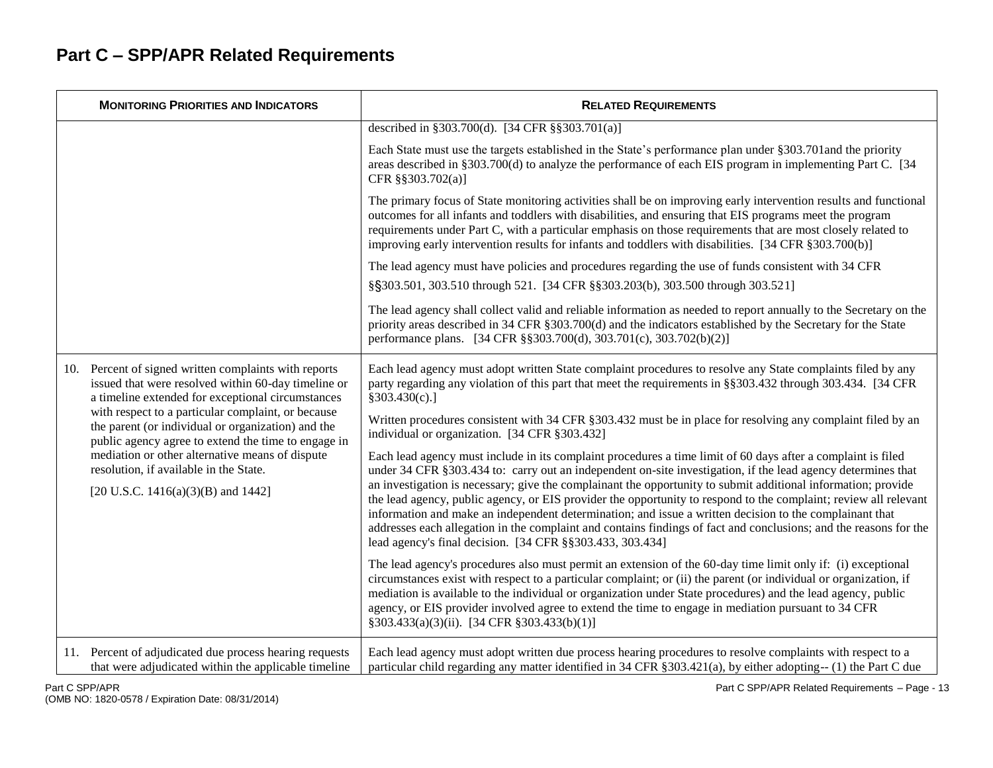| <b>MONITORING PRIORITIES AND INDICATORS</b>                                                                                                                          | <b>RELATED REQUIREMENTS</b>                                                                                                                                                                                                                                                                                                                                                                                                                                                                             |
|----------------------------------------------------------------------------------------------------------------------------------------------------------------------|---------------------------------------------------------------------------------------------------------------------------------------------------------------------------------------------------------------------------------------------------------------------------------------------------------------------------------------------------------------------------------------------------------------------------------------------------------------------------------------------------------|
|                                                                                                                                                                      | described in §303.700(d). [34 CFR §§303.701(a)]                                                                                                                                                                                                                                                                                                                                                                                                                                                         |
|                                                                                                                                                                      | Each State must use the targets established in the State's performance plan under §303.701 and the priority<br>areas described in §303.700(d) to analyze the performance of each EIS program in implementing Part C. [34]<br>CFR §§303.702(a)]                                                                                                                                                                                                                                                          |
|                                                                                                                                                                      | The primary focus of State monitoring activities shall be on improving early intervention results and functional<br>outcomes for all infants and toddlers with disabilities, and ensuring that EIS programs meet the program<br>requirements under Part C, with a particular emphasis on those requirements that are most closely related to<br>improving early intervention results for infants and toddlers with disabilities. [34 CFR §303.700(b)]                                                   |
|                                                                                                                                                                      | The lead agency must have policies and procedures regarding the use of funds consistent with 34 CFR                                                                                                                                                                                                                                                                                                                                                                                                     |
|                                                                                                                                                                      | §§303.501, 303.510 through 521. [34 CFR §§303.203(b), 303.500 through 303.521]                                                                                                                                                                                                                                                                                                                                                                                                                          |
|                                                                                                                                                                      | The lead agency shall collect valid and reliable information as needed to report annually to the Secretary on the<br>priority areas described in 34 CFR §303.700(d) and the indicators established by the Secretary for the State<br>performance plans. [34 CFR §§303.700(d), 303.701(c), 303.702(b)(2)]                                                                                                                                                                                                |
| Percent of signed written complaints with reports<br>10.<br>issued that were resolved within 60-day timeline or<br>a timeline extended for exceptional circumstances | Each lead agency must adopt written State complaint procedures to resolve any State complaints filed by any<br>party regarding any violation of this part that meet the requirements in §§303.432 through 303.434. [34 CFR<br>§303.430(c).]                                                                                                                                                                                                                                                             |
| with respect to a particular complaint, or because<br>the parent (or individual or organization) and the<br>public agency agree to extend the time to engage in      | Written procedures consistent with 34 CFR §303.432 must be in place for resolving any complaint filed by an<br>individual or organization. [34 CFR §303.432]                                                                                                                                                                                                                                                                                                                                            |
| mediation or other alternative means of dispute<br>resolution, if available in the State.                                                                            | Each lead agency must include in its complaint procedures a time limit of 60 days after a complaint is filed<br>under 34 CFR §303.434 to: carry out an independent on-site investigation, if the lead agency determines that<br>an investigation is necessary; give the complainant the opportunity to submit additional information; provide                                                                                                                                                           |
| [20 U.S.C. 1416(a)(3)(B) and 1442]                                                                                                                                   | the lead agency, public agency, or EIS provider the opportunity to respond to the complaint; review all relevant<br>information and make an independent determination; and issue a written decision to the complainant that<br>addresses each allegation in the complaint and contains findings of fact and conclusions; and the reasons for the<br>lead agency's final decision. [34 CFR §§303.433, 303.434]                                                                                           |
|                                                                                                                                                                      | The lead agency's procedures also must permit an extension of the 60-day time limit only if: (i) exceptional<br>circumstances exist with respect to a particular complaint; or (ii) the parent (or individual or organization, if<br>mediation is available to the individual or organization under State procedures) and the lead agency, public<br>agency, or EIS provider involved agree to extend the time to engage in mediation pursuant to 34 CFR<br>§303.433(a)(3)(ii). [34 CFR §303.433(b)(1)] |
| 11. Percent of adjudicated due process hearing requests<br>that were adjudicated within the applicable timeline                                                      | Each lead agency must adopt written due process hearing procedures to resolve complaints with respect to a<br>particular child regarding any matter identified in 34 CFR § 303.421(a), by either adopting-- (1) the Part C due                                                                                                                                                                                                                                                                          |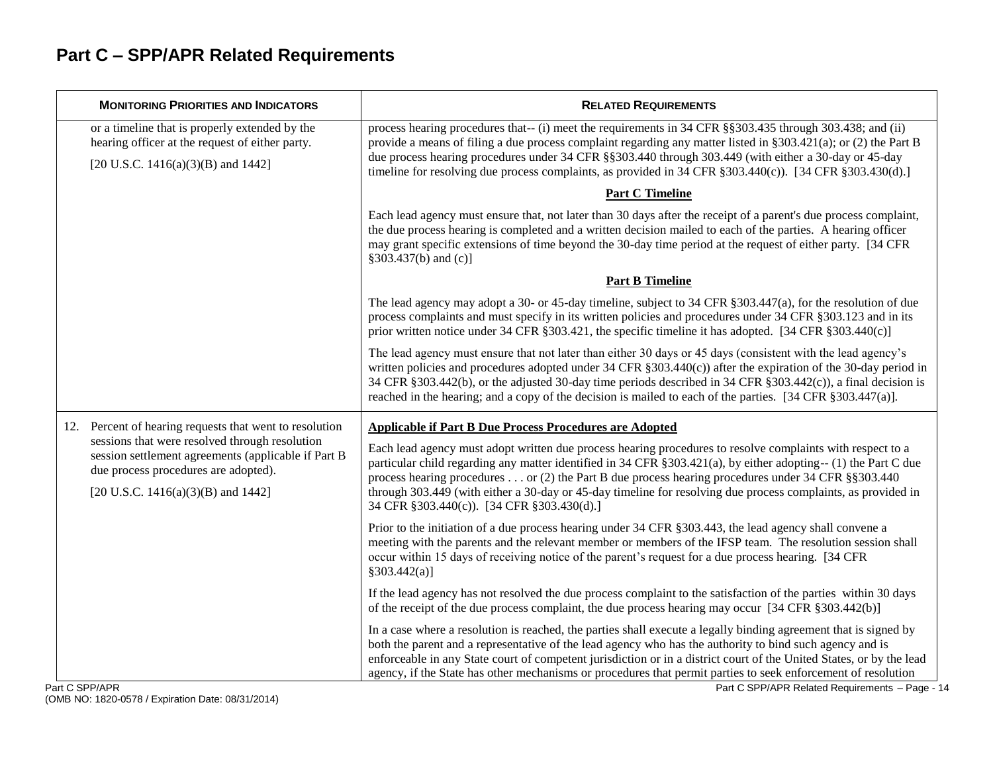| <b>MONITORING PRIORITIES AND INDICATORS</b>                                                                                                                                         | <b>RELATED REQUIREMENTS</b>                                                                                                                                                                                                                                                                                                                                                                                                                                                                                              |
|-------------------------------------------------------------------------------------------------------------------------------------------------------------------------------------|--------------------------------------------------------------------------------------------------------------------------------------------------------------------------------------------------------------------------------------------------------------------------------------------------------------------------------------------------------------------------------------------------------------------------------------------------------------------------------------------------------------------------|
| or a timeline that is properly extended by the<br>hearing officer at the request of either party.<br>[20 U.S.C. 1416(a)(3)(B) and 1442]                                             | process hearing procedures that-- (i) meet the requirements in 34 CFR §§303.435 through 303.438; and (ii)<br>provide a means of filing a due process complaint regarding any matter listed in $\S 303.421(a)$ ; or (2) the Part B<br>due process hearing procedures under 34 CFR §§303.440 through 303.449 (with either a 30-day or 45-day<br>timeline for resolving due process complaints, as provided in 34 CFR §303.440(c)). [34 CFR §303.430(d).]                                                                   |
|                                                                                                                                                                                     | <b>Part C Timeline</b>                                                                                                                                                                                                                                                                                                                                                                                                                                                                                                   |
|                                                                                                                                                                                     | Each lead agency must ensure that, not later than 30 days after the receipt of a parent's due process complaint,<br>the due process hearing is completed and a written decision mailed to each of the parties. A hearing officer<br>may grant specific extensions of time beyond the 30-day time period at the request of either party. [34 CFR<br>§303.437(b) and (c)]                                                                                                                                                  |
|                                                                                                                                                                                     | <b>Part B Timeline</b>                                                                                                                                                                                                                                                                                                                                                                                                                                                                                                   |
|                                                                                                                                                                                     | The lead agency may adopt a 30- or 45-day timeline, subject to 34 CFR $\S 303.447(a)$ , for the resolution of due<br>process complaints and must specify in its written policies and procedures under 34 CFR §303.123 and in its<br>prior written notice under 34 CFR §303.421, the specific timeline it has adopted. [34 CFR §303.440(c)]                                                                                                                                                                               |
|                                                                                                                                                                                     | The lead agency must ensure that not later than either 30 days or 45 days (consistent with the lead agency's<br>written policies and procedures adopted under 34 CFR §303.440(c)) after the expiration of the 30-day period in<br>34 CFR §303.442(b), or the adjusted 30-day time periods described in 34 CFR §303.442(c)), a final decision is<br>reached in the hearing; and a copy of the decision is mailed to each of the parties. $[34 \text{ CFR } \S 303.447(a)].$                                               |
| 12. Percent of hearing requests that went to resolution                                                                                                                             | <b>Applicable if Part B Due Process Procedures are Adopted</b>                                                                                                                                                                                                                                                                                                                                                                                                                                                           |
| sessions that were resolved through resolution<br>session settlement agreements (applicable if Part B<br>due process procedures are adopted).<br>[20 U.S.C. 1416(a)(3)(B) and 1442] | Each lead agency must adopt written due process hearing procedures to resolve complaints with respect to a<br>particular child regarding any matter identified in 34 CFR § 303.421(a), by either adopting-- (1) the Part C due<br>process hearing procedures or (2) the Part B due process hearing procedures under 34 CFR $\S$ \$303.440<br>through 303.449 (with either a 30-day or 45-day timeline for resolving due process complaints, as provided in<br>34 CFR §303.440(c)). [34 CFR §303.430(d).]                 |
|                                                                                                                                                                                     | Prior to the initiation of a due process hearing under 34 CFR § 303.443, the lead agency shall convene a<br>meeting with the parents and the relevant member or members of the IFSP team. The resolution session shall<br>occur within 15 days of receiving notice of the parent's request for a due process hearing. [34 CFR<br>$§303.442(a)$ ]                                                                                                                                                                         |
|                                                                                                                                                                                     | If the lead agency has not resolved the due process complaint to the satisfaction of the parties within 30 days<br>of the receipt of the due process complaint, the due process hearing may occur [34 CFR §303.442(b)]                                                                                                                                                                                                                                                                                                   |
| $C$ CDD/ADD                                                                                                                                                                         | In a case where a resolution is reached, the parties shall execute a legally binding agreement that is signed by<br>both the parent and a representative of the lead agency who has the authority to bind such agency and is<br>enforceable in any State court of competent jurisdiction or in a district court of the United States, or by the lead<br>agency, if the State has other mechanisms or procedures that permit parties to seek enforcement of resolution<br>Dest C CDD/ADD Deleted Deguisements<br>$D = 25$ |

Part C SPP/APR Related Requirements - Page - 14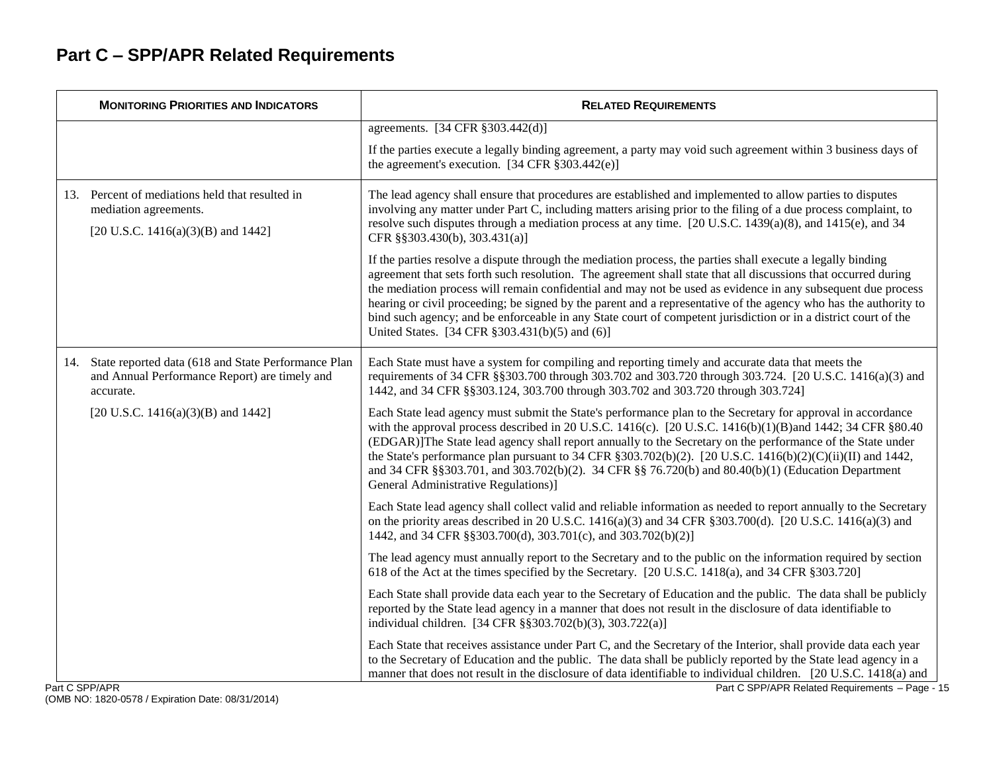| <b>MONITORING PRIORITIES AND INDICATORS</b>                                                                           | <b>RELATED REQUIREMENTS</b>                                                                                                                                                                                                                                                                                                                                                                                                                                                                                                                                                                                                             |
|-----------------------------------------------------------------------------------------------------------------------|-----------------------------------------------------------------------------------------------------------------------------------------------------------------------------------------------------------------------------------------------------------------------------------------------------------------------------------------------------------------------------------------------------------------------------------------------------------------------------------------------------------------------------------------------------------------------------------------------------------------------------------------|
|                                                                                                                       | agreements. [34 CFR §303.442(d)]                                                                                                                                                                                                                                                                                                                                                                                                                                                                                                                                                                                                        |
|                                                                                                                       | If the parties execute a legally binding agreement, a party may void such agreement within 3 business days of<br>the agreement's execution. $[34 \text{ CFR } \frac{8}{3}303.442(e)]$                                                                                                                                                                                                                                                                                                                                                                                                                                                   |
| 13. Percent of mediations held that resulted in<br>mediation agreements.<br>[20 U.S.C. 1416(a)(3)(B) and 1442]        | The lead agency shall ensure that procedures are established and implemented to allow parties to disputes<br>involving any matter under Part C, including matters arising prior to the filing of a due process complaint, to<br>resolve such disputes through a mediation process at any time. [20 U.S.C. 1439(a)(8), and 1415(e), and 34<br>CFR §§303.430(b), 303.431(a)]                                                                                                                                                                                                                                                              |
|                                                                                                                       | If the parties resolve a dispute through the mediation process, the parties shall execute a legally binding<br>agreement that sets forth such resolution. The agreement shall state that all discussions that occurred during<br>the mediation process will remain confidential and may not be used as evidence in any subsequent due process<br>hearing or civil proceeding; be signed by the parent and a representative of the agency who has the authority to<br>bind such agency; and be enforceable in any State court of competent jurisdiction or in a district court of the<br>United States. [34 CFR § 303.431(b)(5) and (6)] |
| 14. State reported data (618 and State Performance Plan<br>and Annual Performance Report) are timely and<br>accurate. | Each State must have a system for compiling and reporting timely and accurate data that meets the<br>requirements of 34 CFR §§303.700 through 303.702 and 303.720 through 303.724. [20 U.S.C. 1416(a)(3) and<br>1442, and 34 CFR §§303.124, 303.700 through 303.702 and 303.720 through 303.724]                                                                                                                                                                                                                                                                                                                                        |
| [20 U.S.C. 1416(a)(3)(B) and 1442]                                                                                    | Each State lead agency must submit the State's performance plan to the Secretary for approval in accordance<br>with the approval process described in 20 U.S.C. 1416(c). [20 U.S.C. 1416(b)(1)(B) and 1442; 34 CFR §80.40<br>(EDGAR)]The State lead agency shall report annually to the Secretary on the performance of the State under<br>the State's performance plan pursuant to 34 CFR $\S 303.702(b)(2)$ . [20 U.S.C. 1416(b)(2)(C)(ii)(II) and 1442,<br>and 34 CFR §§303.701, and 303.702(b)(2). 34 CFR §§ 76.720(b) and 80.40(b)(1) (Education Department<br>General Administrative Regulations)]                                |
|                                                                                                                       | Each State lead agency shall collect valid and reliable information as needed to report annually to the Secretary<br>on the priority areas described in 20 U.S.C. 1416(a)(3) and 34 CFR §303.700(d). [20 U.S.C. 1416(a)(3) and<br>1442, and 34 CFR §§303.700(d), 303.701(c), and 303.702(b)(2)]                                                                                                                                                                                                                                                                                                                                         |
|                                                                                                                       | The lead agency must annually report to the Secretary and to the public on the information required by section<br>618 of the Act at the times specified by the Secretary. [20 U.S.C. 1418(a), and 34 CFR § 303.720]                                                                                                                                                                                                                                                                                                                                                                                                                     |
|                                                                                                                       | Each State shall provide data each year to the Secretary of Education and the public. The data shall be publicly<br>reported by the State lead agency in a manner that does not result in the disclosure of data identifiable to<br>individual children. [34 CFR §§303.702(b)(3), 303.722(a)]                                                                                                                                                                                                                                                                                                                                           |
| $\alpha$ <sub>n</sub> $\alpha$ CDD/ $\alpha$ DD                                                                       | Each State that receives assistance under Part C, and the Secretary of the Interior, shall provide data each year<br>to the Secretary of Education and the public. The data shall be publicly reported by the State lead agency in a<br>manner that does not result in the disclosure of data identifiable to individual children. [20 U.S.C. 1418(a) and<br>Dort C SDD/ADD Dolated Dequirements Dage                                                                                                                                                                                                                                   |